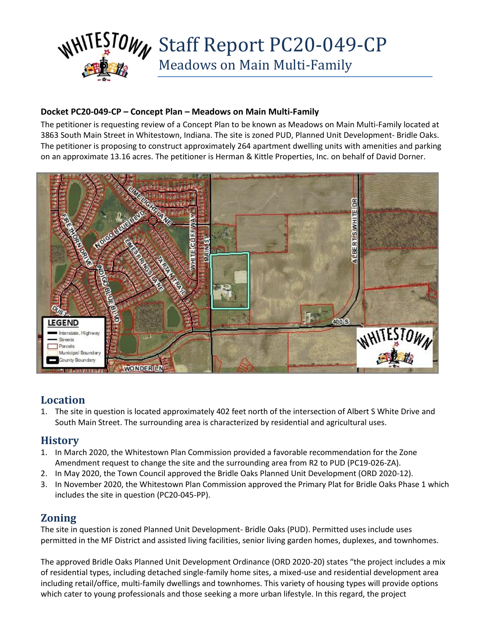

### **Docket PC20-049-CP – Concept Plan – Meadows on Main Multi-Family**

The petitioner is requesting review of a Concept Plan to be known as Meadows on Main Multi-Family located at 3863 South Main Street in Whitestown, Indiana. The site is zoned PUD, Planned Unit Development- Bridle Oaks. The petitioner is proposing to construct approximately 264 apartment dwelling units with amenities and parking on an approximate 13.16 acres. The petitioner is Herman & Kittle Properties, Inc. on behalf of David Dorner.



## **Location**

1. The site in question is located approximately 402 feet north of the intersection of Albert S White Drive and South Main Street. The surrounding area is characterized by residential and agricultural uses.

## **History**

- 1. In March 2020, the Whitestown Plan Commission provided a favorable recommendation for the Zone Amendment request to change the site and the surrounding area from R2 to PUD (PC19-026-ZA).
- 2. In May 2020, the Town Council approved the Bridle Oaks Planned Unit Development (ORD 2020-12).
- 3. In November 2020, the Whitestown Plan Commission approved the Primary Plat for Bridle Oaks Phase 1 which includes the site in question (PC20-045-PP).

## **Zoning**

The site in question is zoned Planned Unit Development- Bridle Oaks (PUD). Permitted uses include uses permitted in the MF District and assisted living facilities, senior living garden homes, duplexes, and townhomes.

The approved Bridle Oaks Planned Unit Development Ordinance (ORD 2020-20) states "the project includes a mix of residential types, including detached single-family home sites, a mixed-use and residential development area including retail/office, multi-family dwellings and townhomes. This variety of housing types will provide options which cater to young professionals and those seeking a more urban lifestyle. In this regard, the project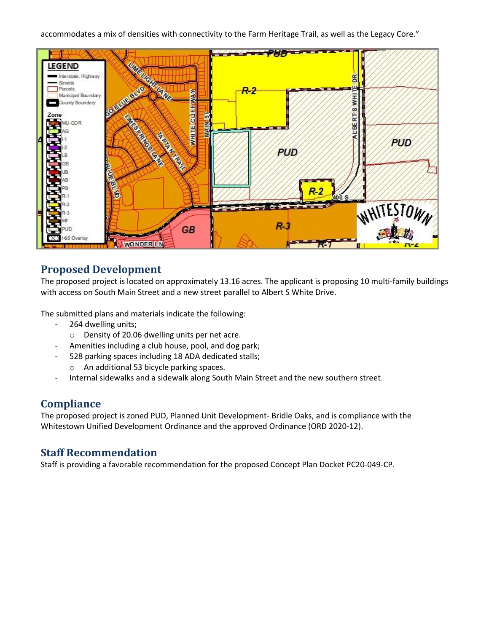#### accommodates a mix of densities with connectivity to the Farm Heritage Trail, as well as the Legacy Core."



# **Proposed Development**

The proposed project is located on approximately 13.16 acres. The applicant is proposing 10 multi-family buildings with access on South Main Street and a new street parallel to Albert S White Drive.

The submitted plans and materials indicate the following:

- 264 dwelling units;
	- o Density of 20.06 dwelling units per net acre.
- Amenities including a club house, pool, and dog park;
- 528 parking spaces including 18 ADA dedicated stalls;
	- o An additional 53 bicycle parking spaces.
- Internal sidewalks and a sidewalk along South Main Street and the new southern street.

## **Compliance**

The proposed project is zoned PUD, Planned Unit Development- Bridle Oaks, and is compliance with the Whitestown Unified Development Ordinance and the approved Ordinance (ORD 2020-12).

## **Staff Recommendation**

Staff is providing a favorable recommendation for the proposed Concept Plan Docket PC20-049-CP.